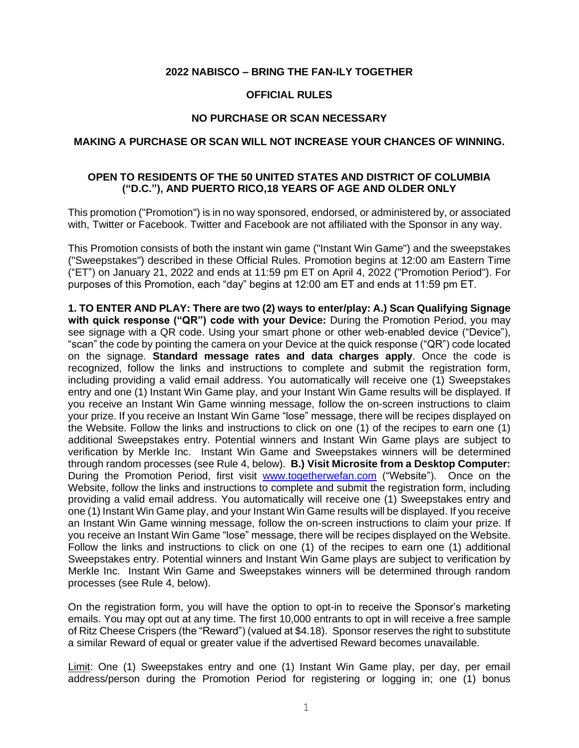## **2022 NABISCO – BRING THE FAN-ILY TOGETHER**

#### **OFFICIAL RULES**

#### **NO PURCHASE OR SCAN NECESSARY**

#### **MAKING A PURCHASE OR SCAN WILL NOT INCREASE YOUR CHANCES OF WINNING.**

## **OPEN TO RESIDENTS OF THE 50 UNITED STATES AND DISTRICT OF COLUMBIA ("D.C."), AND PUERTO RICO,18 YEARS OF AGE AND OLDER ONLY**

This promotion ("Promotion") is in no way sponsored, endorsed, or administered by, or associated with, Twitter or Facebook. Twitter and Facebook are not affiliated with the Sponsor in any way.

This Promotion consists of both the instant win game ("Instant Win Game") and the sweepstakes ("Sweepstakes") described in these Official Rules. Promotion begins at 12:00 am Eastern Time ("ET") on January 21, 2022 and ends at 11:59 pm ET on April 4, 2022 ("Promotion Period"). For purposes of this Promotion, each "day" begins at 12:00 am ET and ends at 11:59 pm ET.

**1. TO ENTER AND PLAY: There are two (2) ways to enter/play: A.) Scan Qualifying Signage with quick response ("QR") code with your Device:** During the Promotion Period, you may see signage with a QR code. Using your smart phone or other web-enabled device ("Device"), "scan" the code by pointing the camera on your Device at the quick response ("QR") code located on the signage. **Standard message rates and data charges apply**. Once the code is recognized, follow the links and instructions to complete and submit the registration form, including providing a valid email address. You automatically will receive one (1) Sweepstakes entry and one (1) Instant Win Game play, and your Instant Win Game results will be displayed. If you receive an Instant Win Game winning message, follow the on-screen instructions to claim your prize. If you receive an Instant Win Game "lose" message, there will be recipes displayed on the Website. Follow the links and instructions to click on one (1) of the recipes to earn one (1) additional Sweepstakes entry. Potential winners and Instant Win Game plays are subject to verification by Merkle Inc. Instant Win Game and Sweepstakes winners will be determined through random processes (see Rule 4, below). **B.) Visit Microsite from a Desktop Computer:** During the Promotion Period, first visit [www.togetherwefan.com](http://www.togetherwefan.com/) ("Website"). Once on the Website, follow the links and instructions to complete and submit the registration form, including providing a valid email address. You automatically will receive one (1) Sweepstakes entry and one (1) Instant Win Game play, and your Instant Win Game results will be displayed. If you receive an Instant Win Game winning message, follow the on-screen instructions to claim your prize. If you receive an Instant Win Game "lose" message, there will be recipes displayed on the Website. Follow the links and instructions to click on one (1) of the recipes to earn one (1) additional Sweepstakes entry. Potential winners and Instant Win Game plays are subject to verification by Merkle Inc. Instant Win Game and Sweepstakes winners will be determined through random processes (see Rule 4, below).

On the registration form, you will have the option to opt-in to receive the Sponsor's marketing emails. You may opt out at any time. The first 10,000 entrants to opt in will receive a free sample of Ritz Cheese Crispers (the "Reward") (valued at \$4.18). Sponsor reserves the right to substitute a similar Reward of equal or greater value if the advertised Reward becomes unavailable.

Limit: One (1) Sweepstakes entry and one (1) Instant Win Game play, per day, per email address/person during the Promotion Period for registering or logging in; one (1) bonus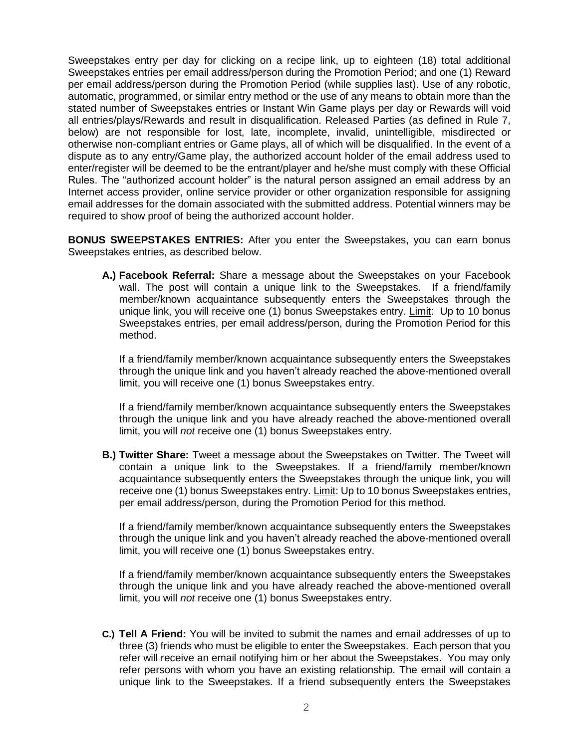Sweepstakes entry per day for clicking on a recipe link, up to eighteen (18) total additional Sweepstakes entries per email address/person during the Promotion Period; and one (1) Reward per email address/person during the Promotion Period (while supplies last). Use of any robotic, automatic, programmed, or similar entry method or the use of any means to obtain more than the stated number of Sweepstakes entries or Instant Win Game plays per day or Rewards will void all entries/plays/Rewards and result in disqualification. Released Parties (as defined in Rule 7, below) are not responsible for lost, late, incomplete, invalid, unintelligible, misdirected or otherwise non-compliant entries or Game plays, all of which will be disqualified. In the event of a dispute as to any entry/Game play, the authorized account holder of the email address used to enter/register will be deemed to be the entrant/player and he/she must comply with these Official Rules. The "authorized account holder" is the natural person assigned an email address by an Internet access provider, online service provider or other organization responsible for assigning email addresses for the domain associated with the submitted address. Potential winners may be required to show proof of being the authorized account holder.

**BONUS SWEEPSTAKES ENTRIES:** After you enter the Sweepstakes, you can earn bonus Sweepstakes entries, as described below.

**A.) Facebook Referral:** Share a message about the Sweepstakes on your Facebook wall. The post will contain a unique link to the Sweepstakes. If a friend/family member/known acquaintance subsequently enters the Sweepstakes through the unique link, you will receive one (1) bonus Sweepstakes entry. Limit: Up to 10 bonus Sweepstakes entries, per email address/person, during the Promotion Period for this method.

If a friend/family member/known acquaintance subsequently enters the Sweepstakes through the unique link and you haven't already reached the above-mentioned overall limit, you will receive one (1) bonus Sweepstakes entry.

If a friend/family member/known acquaintance subsequently enters the Sweepstakes through the unique link and you have already reached the above-mentioned overall limit, you will *not* receive one (1) bonus Sweepstakes entry.

**B.) Twitter Share:** Tweet a message about the Sweepstakes on Twitter. The Tweet will contain a unique link to the Sweepstakes. If a friend/family member/known acquaintance subsequently enters the Sweepstakes through the unique link, you will receive one (1) bonus Sweepstakes entry. Limit: Up to 10 bonus Sweepstakes entries, per email address/person, during the Promotion Period for this method.

If a friend/family member/known acquaintance subsequently enters the Sweepstakes through the unique link and you haven't already reached the above-mentioned overall limit, you will receive one (1) bonus Sweepstakes entry.

If a friend/family member/known acquaintance subsequently enters the Sweepstakes through the unique link and you have already reached the above-mentioned overall limit, you will *not* receive one (1) bonus Sweepstakes entry.

**C.) Tell A Friend:** You will be invited to submit the names and email addresses of up to three (3) friends who must be eligible to enter the Sweepstakes. Each person that you refer will receive an email notifying him or her about the Sweepstakes. You may only refer persons with whom you have an existing relationship. The email will contain a unique link to the Sweepstakes. If a friend subsequently enters the Sweepstakes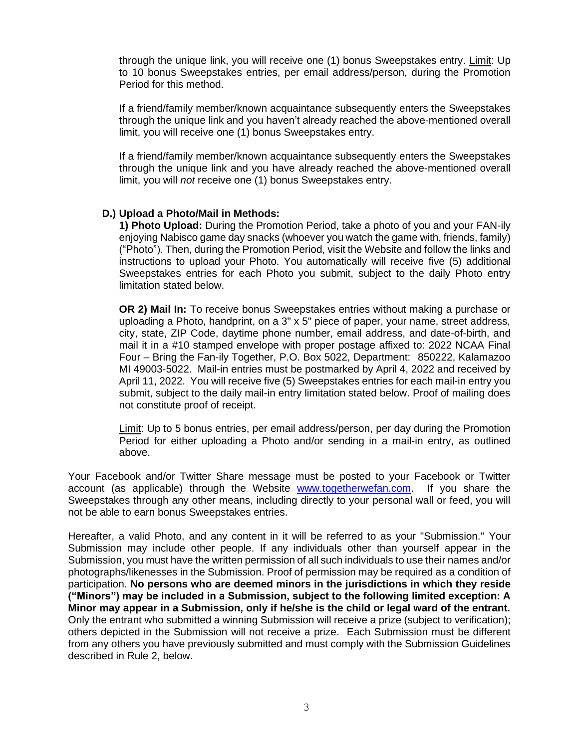through the unique link, you will receive one (1) bonus Sweepstakes entry. Limit: Up to 10 bonus Sweepstakes entries, per email address/person, during the Promotion Period for this method.

If a friend/family member/known acquaintance subsequently enters the Sweepstakes through the unique link and you haven't already reached the above-mentioned overall limit, you will receive one (1) bonus Sweepstakes entry.

If a friend/family member/known acquaintance subsequently enters the Sweepstakes through the unique link and you have already reached the above-mentioned overall limit, you will *not* receive one (1) bonus Sweepstakes entry.

## **D.) Upload a Photo/Mail in Methods:**

**1) Photo Upload:** During the Promotion Period, take a photo of you and your FAN-ily enjoying Nabisco game day snacks (whoever you watch the game with, friends, family) ("Photo"). Then, during the Promotion Period, visit the Website and follow the links and instructions to upload your Photo. You automatically will receive five (5) additional Sweepstakes entries for each Photo you submit, subject to the daily Photo entry limitation stated below.

**OR 2) Mail In:** To receive bonus Sweepstakes entries without making a purchase or uploading a Photo, handprint, on a 3" x 5" piece of paper, your name, street address, city, state, ZIP Code, daytime phone number, email address, and date-of-birth, and mail it in a #10 stamped envelope with proper postage affixed to: 2022 NCAA Final Four – Bring the Fan-ily Together, P.O. Box 5022, Department: 850222, Kalamazoo MI 49003-5022. Mail-in entries must be postmarked by April 4, 2022 and received by April 11, 2022. You will receive five (5) Sweepstakes entries for each mail-in entry you submit, subject to the daily mail-in entry limitation stated below. Proof of mailing does not constitute proof of receipt.

Limit: Up to 5 bonus entries, per email address/person, per day during the Promotion Period for either uploading a Photo and/or sending in a mail-in entry, as outlined above.

Your Facebook and/or Twitter Share message must be posted to your Facebook or Twitter account (as applicable) through the Website [www.togetherwefan.com.](http://www.togetherwefan.com/) If you share the Sweepstakes through any other means, including directly to your personal wall or feed, you will not be able to earn bonus Sweepstakes entries.

Hereafter, a valid Photo, and any content in it will be referred to as your "Submission." Your Submission may include other people. If any individuals other than yourself appear in the Submission, you must have the written permission of all such individuals to use their names and/or photographs/likenesses in the Submission. Proof of permission may be required as a condition of participation. **No persons who are deemed minors in the jurisdictions in which they reside ("Minors") may be included in a Submission, subject to the following limited exception: A Minor may appear in a Submission, only if he/she is the child or legal ward of the entrant.** Only the entrant who submitted a winning Submission will receive a prize (subject to verification); others depicted in the Submission will not receive a prize. Each Submission must be different from any others you have previously submitted and must comply with the Submission Guidelines described in Rule 2, below.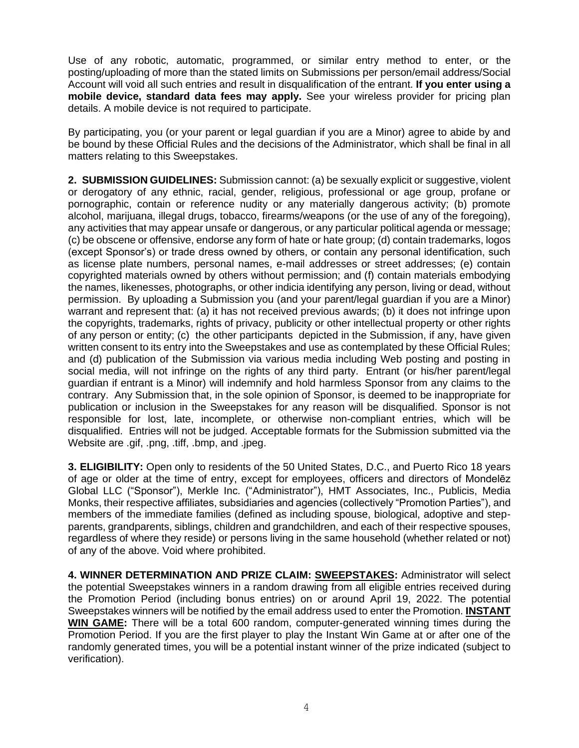Use of any robotic, automatic, programmed, or similar entry method to enter, or the posting/uploading of more than the stated limits on Submissions per person/email address/Social Account will void all such entries and result in disqualification of the entrant. **If you enter using a mobile device, standard data fees may apply.** See your wireless provider for pricing plan details. A mobile device is not required to participate.

By participating, you (or your parent or legal guardian if you are a Minor) agree to abide by and be bound by these Official Rules and the decisions of the Administrator, which shall be final in all matters relating to this Sweepstakes.

**2. SUBMISSION GUIDELINES:** Submission cannot: (a) be sexually explicit or suggestive, violent or derogatory of any ethnic, racial, gender, religious, professional or age group, profane or pornographic, contain or reference nudity or any materially dangerous activity; (b) promote alcohol, marijuana, illegal drugs, tobacco, firearms/weapons (or the use of any of the foregoing), any activities that may appear unsafe or dangerous, or any particular political agenda or message; (c) be obscene or offensive, endorse any form of hate or hate group; (d) contain trademarks, logos (except Sponsor's) or trade dress owned by others, or contain any personal identification, such as license plate numbers, personal names, e-mail addresses or street addresses; (e) contain copyrighted materials owned by others without permission; and (f) contain materials embodying the names, likenesses, photographs, or other indicia identifying any person, living or dead, without permission. By uploading a Submission you (and your parent/legal guardian if you are a Minor) warrant and represent that: (a) it has not received previous awards; (b) it does not infringe upon the copyrights, trademarks, rights of privacy, publicity or other intellectual property or other rights of any person or entity; (c) the other participants depicted in the Submission, if any, have given written consent to its entry into the Sweepstakes and use as contemplated by these Official Rules; and (d) publication of the Submission via various media including Web posting and posting in social media, will not infringe on the rights of any third party. Entrant (or his/her parent/legal guardian if entrant is a Minor) will indemnify and hold harmless Sponsor from any claims to the contrary. Any Submission that, in the sole opinion of Sponsor, is deemed to be inappropriate for publication or inclusion in the Sweepstakes for any reason will be disqualified. Sponsor is not responsible for lost, late, incomplete, or otherwise non-compliant entries, which will be disqualified. Entries will not be judged. Acceptable formats for the Submission submitted via the Website are .gif, .png, .tiff, .bmp, and .jpeg.

**3. ELIGIBILITY:** Open only to residents of the 50 United States, D.C., and Puerto Rico 18 years of age or older at the time of entry, except for employees, officers and directors of Mondelēz Global LLC ("Sponsor"), Merkle Inc. ("Administrator"), HMT Associates, Inc., Publicis, Media Monks, their respective affiliates, subsidiaries and agencies (collectively "Promotion Parties"), and members of the immediate families (defined as including spouse, biological, adoptive and stepparents, grandparents, siblings, children and grandchildren, and each of their respective spouses, regardless of where they reside) or persons living in the same household (whether related or not) of any of the above. Void where prohibited.

**4. WINNER DETERMINATION AND PRIZE CLAIM: SWEEPSTAKES:** Administrator will select the potential Sweepstakes winners in a random drawing from all eligible entries received during the Promotion Period (including bonus entries) on or around April 19, 2022. The potential Sweepstakes winners will be notified by the email address used to enter the Promotion. **INSTANT WIN GAME:** There will be a total 600 random, computer-generated winning times during the Promotion Period. If you are the first player to play the Instant Win Game at or after one of the randomly generated times, you will be a potential instant winner of the prize indicated (subject to verification).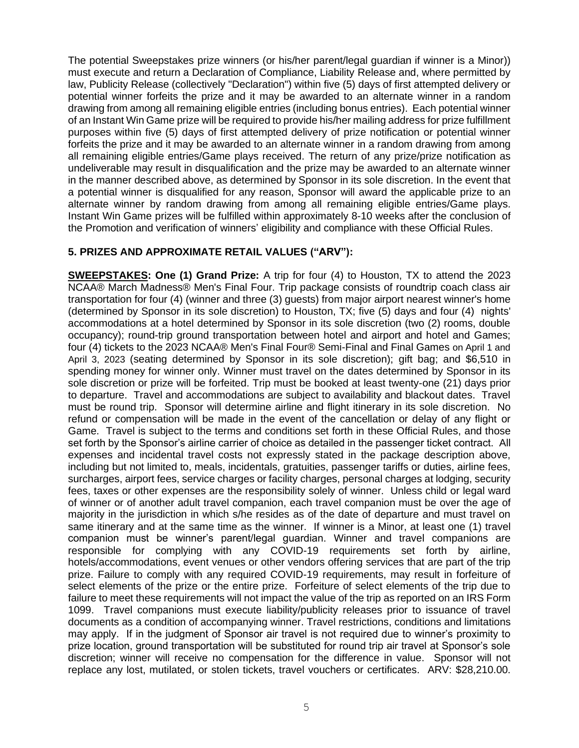The potential Sweepstakes prize winners (or his/her parent/legal guardian if winner is a Minor)) must execute and return a Declaration of Compliance, Liability Release and, where permitted by law, Publicity Release (collectively "Declaration") within five (5) days of first attempted delivery or potential winner forfeits the prize and it may be awarded to an alternate winner in a random drawing from among all remaining eligible entries (including bonus entries). Each potential winner of an Instant Win Game prize will be required to provide his/her mailing address for prize fulfillment purposes within five (5) days of first attempted delivery of prize notification or potential winner forfeits the prize and it may be awarded to an alternate winner in a random drawing from among all remaining eligible entries/Game plays received. The return of any prize/prize notification as undeliverable may result in disqualification and the prize may be awarded to an alternate winner in the manner described above, as determined by Sponsor in its sole discretion. In the event that a potential winner is disqualified for any reason, Sponsor will award the applicable prize to an alternate winner by random drawing from among all remaining eligible entries/Game plays. Instant Win Game prizes will be fulfilled within approximately 8-10 weeks after the conclusion of the Promotion and verification of winners' eligibility and compliance with these Official Rules.

# **5. PRIZES AND APPROXIMATE RETAIL VALUES ("ARV"):**

**SWEEPSTAKES: One (1) Grand Prize:** A trip for four (4) to Houston, TX to attend the 2023 NCAA® March Madness® Men's Final Four. Trip package consists of roundtrip coach class air transportation for four (4) (winner and three (3) guests) from major airport nearest winner's home (determined by Sponsor in its sole discretion) to Houston, TX; five (5) days and four (4) nights' accommodations at a hotel determined by Sponsor in its sole discretion (two (2) rooms, double occupancy); round-trip ground transportation between hotel and airport and hotel and Games; four (4) tickets to the 2023 NCAA® Men's Final Four® Semi-Final and Final Games on April 1 and April 3, 2023 (seating determined by Sponsor in its sole discretion); gift bag; and \$6,510 in spending money for winner only. Winner must travel on the dates determined by Sponsor in its sole discretion or prize will be forfeited. Trip must be booked at least twenty-one (21) days prior to departure. Travel and accommodations are subject to availability and blackout dates. Travel must be round trip. Sponsor will determine airline and flight itinerary in its sole discretion. No refund or compensation will be made in the event of the cancellation or delay of any flight or Game. Travel is subject to the terms and conditions set forth in these Official Rules, and those set forth by the Sponsor's airline carrier of choice as detailed in the passenger ticket contract. All expenses and incidental travel costs not expressly stated in the package description above, including but not limited to, meals, incidentals, gratuities, passenger tariffs or duties, airline fees, surcharges, airport fees, service charges or facility charges, personal charges at lodging, security fees, taxes or other expenses are the responsibility solely of winner. Unless child or legal ward of winner or of another adult travel companion, each travel companion must be over the age of majority in the jurisdiction in which s/he resides as of the date of departure and must travel on same itinerary and at the same time as the winner. If winner is a Minor, at least one (1) travel companion must be winner's parent/legal guardian. Winner and travel companions are responsible for complying with any COVID-19 requirements set forth by airline, hotels/accommodations, event venues or other vendors offering services that are part of the trip prize. Failure to comply with any required COVID-19 requirements, may result in forfeiture of select elements of the prize or the entire prize. Forfeiture of select elements of the trip due to failure to meet these requirements will not impact the value of the trip as reported on an IRS Form 1099. Travel companions must execute liability/publicity releases prior to issuance of travel documents as a condition of accompanying winner. Travel restrictions, conditions and limitations may apply.If in the judgment of Sponsor air travel is not required due to winner's proximity to prize location, ground transportation will be substituted for round trip air travel at Sponsor's sole discretion; winner will receive no compensation for the difference in value. Sponsor will not replace any lost, mutilated, or stolen tickets, travel vouchers or certificates. ARV: \$28,210.00.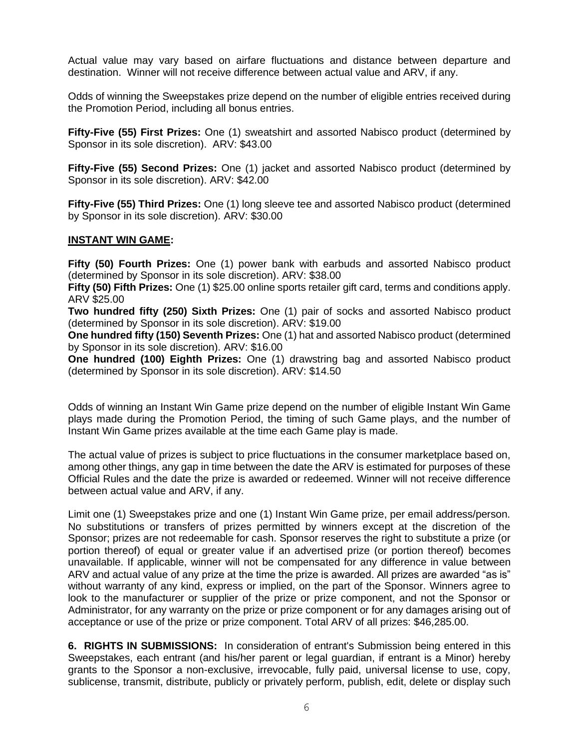Actual value may vary based on airfare fluctuations and distance between departure and destination. Winner will not receive difference between actual value and ARV, if any.

Odds of winning the Sweepstakes prize depend on the number of eligible entries received during the Promotion Period, including all bonus entries.

**Fifty-Five (55) First Prizes:** One (1) sweatshirt and assorted Nabisco product (determined by Sponsor in its sole discretion). ARV: \$43.00

**Fifty-Five (55) Second Prizes:** One (1) jacket and assorted Nabisco product (determined by Sponsor in its sole discretion). ARV: \$42.00

**Fifty-Five (55) Third Prizes:** One (1) long sleeve tee and assorted Nabisco product (determined by Sponsor in its sole discretion). ARV: \$30.00

## **INSTANT WIN GAME:**

**Fifty (50) Fourth Prizes:** One (1) power bank with earbuds and assorted Nabisco product (determined by Sponsor in its sole discretion). ARV: \$38.00

**Fifty (50) Fifth Prizes:** One (1) \$25.00 online sports retailer gift card, terms and conditions apply. ARV \$25.00

**Two hundred fifty (250) Sixth Prizes:** One (1) pair of socks and assorted Nabisco product (determined by Sponsor in its sole discretion). ARV: \$19.00

**One hundred fifty (150) Seventh Prizes:** One (1) hat and assorted Nabisco product (determined by Sponsor in its sole discretion). ARV: \$16.00

**One hundred (100) Eighth Prizes:** One (1) drawstring bag and assorted Nabisco product (determined by Sponsor in its sole discretion). ARV: \$14.50

Odds of winning an Instant Win Game prize depend on the number of eligible Instant Win Game plays made during the Promotion Period, the timing of such Game plays, and the number of Instant Win Game prizes available at the time each Game play is made.

The actual value of prizes is subject to price fluctuations in the consumer marketplace based on, among other things, any gap in time between the date the ARV is estimated for purposes of these Official Rules and the date the prize is awarded or redeemed. Winner will not receive difference between actual value and ARV, if any.

Limit one (1) Sweepstakes prize and one (1) Instant Win Game prize, per email address/person. No substitutions or transfers of prizes permitted by winners except at the discretion of the Sponsor; prizes are not redeemable for cash. Sponsor reserves the right to substitute a prize (or portion thereof) of equal or greater value if an advertised prize (or portion thereof) becomes unavailable. If applicable, winner will not be compensated for any difference in value between ARV and actual value of any prize at the time the prize is awarded. All prizes are awarded "as is" without warranty of any kind, express or implied, on the part of the Sponsor. Winners agree to look to the manufacturer or supplier of the prize or prize component, and not the Sponsor or Administrator, for any warranty on the prize or prize component or for any damages arising out of acceptance or use of the prize or prize component. Total ARV of all prizes: \$46,285.00.

**6. RIGHTS IN SUBMISSIONS:** In consideration of entrant's Submission being entered in this Sweepstakes, each entrant (and his/her parent or legal guardian, if entrant is a Minor) hereby grants to the Sponsor a non-exclusive, irrevocable, fully paid, universal license to use, copy, sublicense, transmit, distribute, publicly or privately perform, publish, edit, delete or display such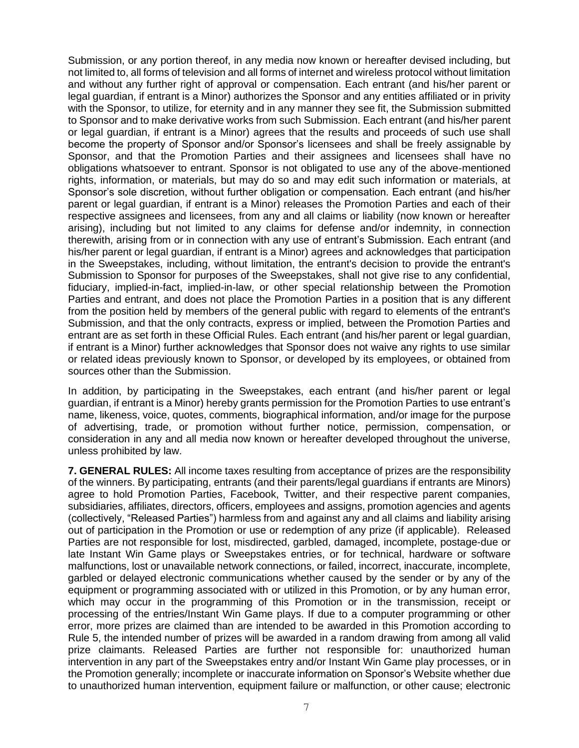Submission, or any portion thereof, in any media now known or hereafter devised including, but not limited to, all forms of television and all forms of internet and wireless protocol without limitation and without any further right of approval or compensation. Each entrant (and his/her parent or legal guardian, if entrant is a Minor) authorizes the Sponsor and any entities affiliated or in privity with the Sponsor, to utilize, for eternity and in any manner they see fit, the Submission submitted to Sponsor and to make derivative works from such Submission. Each entrant (and his/her parent or legal guardian, if entrant is a Minor) agrees that the results and proceeds of such use shall become the property of Sponsor and/or Sponsor's licensees and shall be freely assignable by Sponsor, and that the Promotion Parties and their assignees and licensees shall have no obligations whatsoever to entrant. Sponsor is not obligated to use any of the above-mentioned rights, information, or materials, but may do so and may edit such information or materials, at Sponsor's sole discretion, without further obligation or compensation. Each entrant (and his/her parent or legal guardian, if entrant is a Minor) releases the Promotion Parties and each of their respective assignees and licensees, from any and all claims or liability (now known or hereafter arising), including but not limited to any claims for defense and/or indemnity, in connection therewith, arising from or in connection with any use of entrant's Submission. Each entrant (and his/her parent or legal guardian, if entrant is a Minor) agrees and acknowledges that participation in the Sweepstakes, including, without limitation, the entrant's decision to provide the entrant's Submission to Sponsor for purposes of the Sweepstakes, shall not give rise to any confidential, fiduciary, implied-in-fact, implied-in-law, or other special relationship between the Promotion Parties and entrant, and does not place the Promotion Parties in a position that is any different from the position held by members of the general public with regard to elements of the entrant's Submission, and that the only contracts, express or implied, between the Promotion Parties and entrant are as set forth in these Official Rules. Each entrant (and his/her parent or legal guardian, if entrant is a Minor) further acknowledges that Sponsor does not waive any rights to use similar or related ideas previously known to Sponsor, or developed by its employees, or obtained from sources other than the Submission.

In addition, by participating in the Sweepstakes, each entrant (and his/her parent or legal guardian, if entrant is a Minor) hereby grants permission for the Promotion Parties to use entrant's name, likeness, voice, quotes, comments, biographical information, and/or image for the purpose of advertising, trade, or promotion without further notice, permission, compensation, or consideration in any and all media now known or hereafter developed throughout the universe, unless prohibited by law.

**7. GENERAL RULES:** All income taxes resulting from acceptance of prizes are the responsibility of the winners. By participating, entrants (and their parents/legal guardians if entrants are Minors) agree to hold Promotion Parties, Facebook, Twitter, and their respective parent companies, subsidiaries, affiliates, directors, officers, employees and assigns, promotion agencies and agents (collectively, "Released Parties") harmless from and against any and all claims and liability arising out of participation in the Promotion or use or redemption of any prize (if applicable). Released Parties are not responsible for lost, misdirected, garbled, damaged, incomplete, postage-due or late Instant Win Game plays or Sweepstakes entries, or for technical, hardware or software malfunctions, lost or unavailable network connections, or failed, incorrect, inaccurate, incomplete, garbled or delayed electronic communications whether caused by the sender or by any of the equipment or programming associated with or utilized in this Promotion, or by any human error, which may occur in the programming of this Promotion or in the transmission, receipt or processing of the entries/Instant Win Game plays. If due to a computer programming or other error, more prizes are claimed than are intended to be awarded in this Promotion according to Rule 5, the intended number of prizes will be awarded in a random drawing from among all valid prize claimants. Released Parties are further not responsible for: unauthorized human intervention in any part of the Sweepstakes entry and/or Instant Win Game play processes, or in the Promotion generally; incomplete or inaccurate information on Sponsor's Website whether due to unauthorized human intervention, equipment failure or malfunction, or other cause; electronic